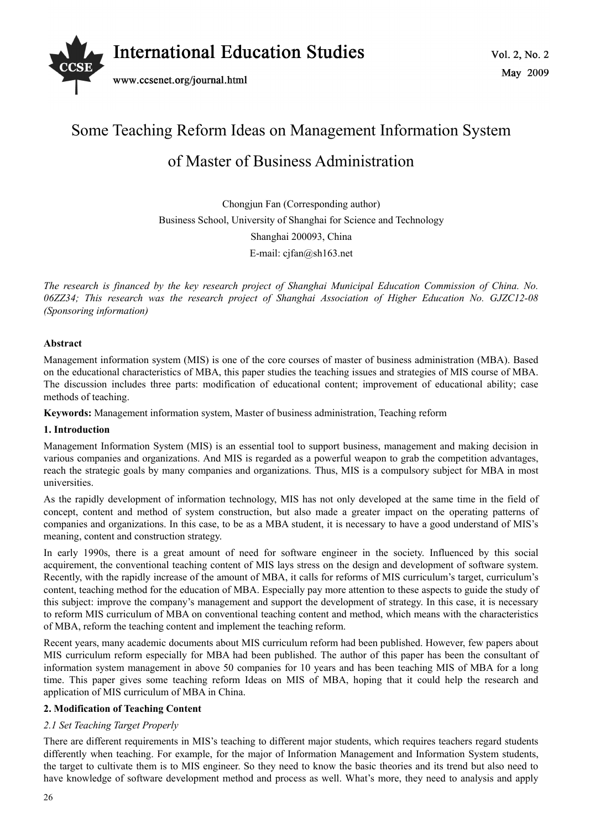

# Some Teaching Reform Ideas on Management Information System of Master of Business Administration

Chongjun Fan (Corresponding author) Business School, University of Shanghai for Science and Technology Shanghai 200093, China E-mail: cjfan@sh163.net

*The research is financed by the key research project of Shanghai Municipal Education Commission of China. No. 06ZZ34; This research was the research project of Shanghai Association of Higher Education No. GJZC12-08 (Sponsoring information)* 

# **Abstract**

Management information system (MIS) is one of the core courses of master of business administration (MBA). Based on the educational characteristics of MBA, this paper studies the teaching issues and strategies of MIS course of MBA. The discussion includes three parts: modification of educational content; improvement of educational ability; case methods of teaching.

**Keywords:** Management information system, Master of business administration, Teaching reform

## **1. Introduction**

Management Information System (MIS) is an essential tool to support business, management and making decision in various companies and organizations. And MIS is regarded as a powerful weapon to grab the competition advantages, reach the strategic goals by many companies and organizations. Thus, MIS is a compulsory subject for MBA in most universities.

As the rapidly development of information technology, MIS has not only developed at the same time in the field of concept, content and method of system construction, but also made a greater impact on the operating patterns of companies and organizations. In this case, to be as a MBA student, it is necessary to have a good understand of MIS's meaning, content and construction strategy.

In early 1990s, there is a great amount of need for software engineer in the society. Influenced by this social acquirement, the conventional teaching content of MIS lays stress on the design and development of software system. Recently, with the rapidly increase of the amount of MBA, it calls for reforms of MIS curriculum's target, curriculum's content, teaching method for the education of MBA. Especially pay more attention to these aspects to guide the study of this subject: improve the company's management and support the development of strategy. In this case, it is necessary to reform MIS curriculum of MBA on conventional teaching content and method, which means with the characteristics of MBA, reform the teaching content and implement the teaching reform.

Recent years, many academic documents about MIS curriculum reform had been published. However, few papers about MIS curriculum reform especially for MBA had been published. The author of this paper has been the consultant of information system management in above 50 companies for 10 years and has been teaching MIS of MBA for a long time. This paper gives some teaching reform Ideas on MIS of MBA, hoping that it could help the research and application of MIS curriculum of MBA in China.

# **2. Modification of Teaching Content**

# *2.1 Set Teaching Target Properly*

There are different requirements in MIS's teaching to different major students, which requires teachers regard students differently when teaching. For example, for the major of Information Management and Information System students, the target to cultivate them is to MIS engineer. So they need to know the basic theories and its trend but also need to have knowledge of software development method and process as well. What's more, they need to analysis and apply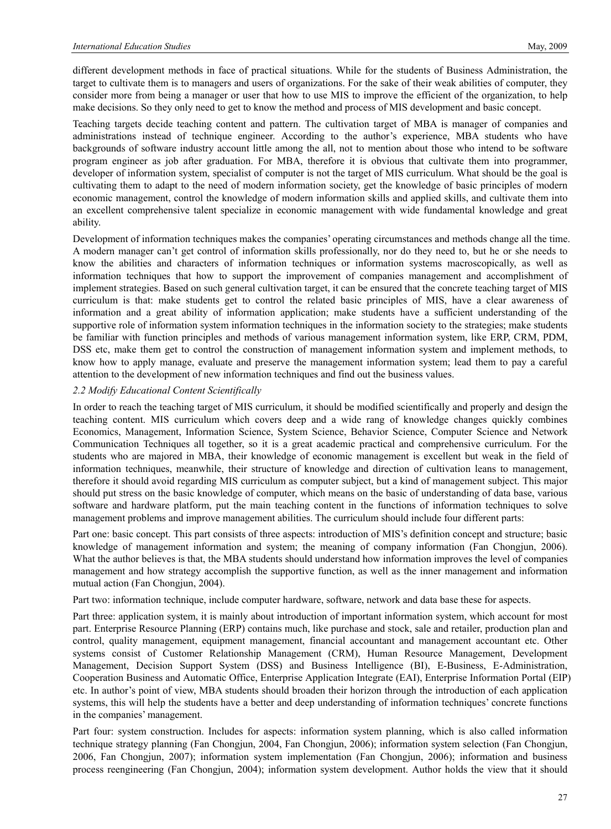different development methods in face of practical situations. While for the students of Business Administration, the target to cultivate them is to managers and users of organizations. For the sake of their weak abilities of computer, they consider more from being a manager or user that how to use MIS to improve the efficient of the organization, to help make decisions. So they only need to get to know the method and process of MIS development and basic concept.

Teaching targets decide teaching content and pattern. The cultivation target of MBA is manager of companies and administrations instead of technique engineer. According to the author's experience, MBA students who have backgrounds of software industry account little among the all, not to mention about those who intend to be software program engineer as job after graduation. For MBA, therefore it is obvious that cultivate them into programmer, developer of information system, specialist of computer is not the target of MIS curriculum. What should be the goal is cultivating them to adapt to the need of modern information society, get the knowledge of basic principles of modern economic management, control the knowledge of modern information skills and applied skills, and cultivate them into an excellent comprehensive talent specialize in economic management with wide fundamental knowledge and great ability.

Development of information techniques makes the companies' operating circumstances and methods change all the time. A modern manager can't get control of information skills professionally, nor do they need to, but he or she needs to know the abilities and characters of information techniques or information systems macroscopically, as well as information techniques that how to support the improvement of companies management and accomplishment of implement strategies. Based on such general cultivation target, it can be ensured that the concrete teaching target of MIS curriculum is that: make students get to control the related basic principles of MIS, have a clear awareness of information and a great ability of information application; make students have a sufficient understanding of the supportive role of information system information techniques in the information society to the strategies; make students be familiar with function principles and methods of various management information system, like ERP, CRM, PDM, DSS etc, make them get to control the construction of management information system and implement methods, to know how to apply manage, evaluate and preserve the management information system; lead them to pay a careful attention to the development of new information techniques and find out the business values.

## *2.2 Modify Educational Content Scientifically*

In order to reach the teaching target of MIS curriculum, it should be modified scientifically and properly and design the teaching content. MIS curriculum which covers deep and a wide rang of knowledge changes quickly combines Economics, Management, Information Science, System Science, Behavior Science, Computer Science and Network Communication Techniques all together, so it is a great academic practical and comprehensive curriculum. For the students who are majored in MBA, their knowledge of economic management is excellent but weak in the field of information techniques, meanwhile, their structure of knowledge and direction of cultivation leans to management, therefore it should avoid regarding MIS curriculum as computer subject, but a kind of management subject. This major should put stress on the basic knowledge of computer, which means on the basic of understanding of data base, various software and hardware platform, put the main teaching content in the functions of information techniques to solve management problems and improve management abilities. The curriculum should include four different parts:

Part one: basic concept. This part consists of three aspects: introduction of MIS's definition concept and structure; basic knowledge of management information and system; the meaning of company information (Fan Chongjun, 2006). What the author believes is that, the MBA students should understand how information improves the level of companies management and how strategy accomplish the supportive function, as well as the inner management and information mutual action (Fan Chongjun, 2004).

Part two: information technique, include computer hardware, software, network and data base these for aspects.

Part three: application system, it is mainly about introduction of important information system, which account for most part. Enterprise Resource Planning (ERP) contains much, like purchase and stock, sale and retailer, production plan and control, quality management, equipment management, financial accountant and management accountant etc. Other systems consist of Customer Relationship Management (CRM), Human Resource Management, Development Management, Decision Support System (DSS) and Business Intelligence (BI), E-Business, E-Administration, Cooperation Business and Automatic Office, Enterprise Application Integrate (EAI), Enterprise Information Portal (EIP) etc. In author's point of view, MBA students should broaden their horizon through the introduction of each application systems, this will help the students have a better and deep understanding of information techniques' concrete functions in the companies' management.

Part four: system construction. Includes for aspects: information system planning, which is also called information technique strategy planning (Fan Chongjun, 2004, Fan Chongjun, 2006); information system selection (Fan Chongjun, 2006, Fan Chongjun, 2007); information system implementation (Fan Chongjun, 2006); information and business process reengineering (Fan Chongjun, 2004); information system development. Author holds the view that it should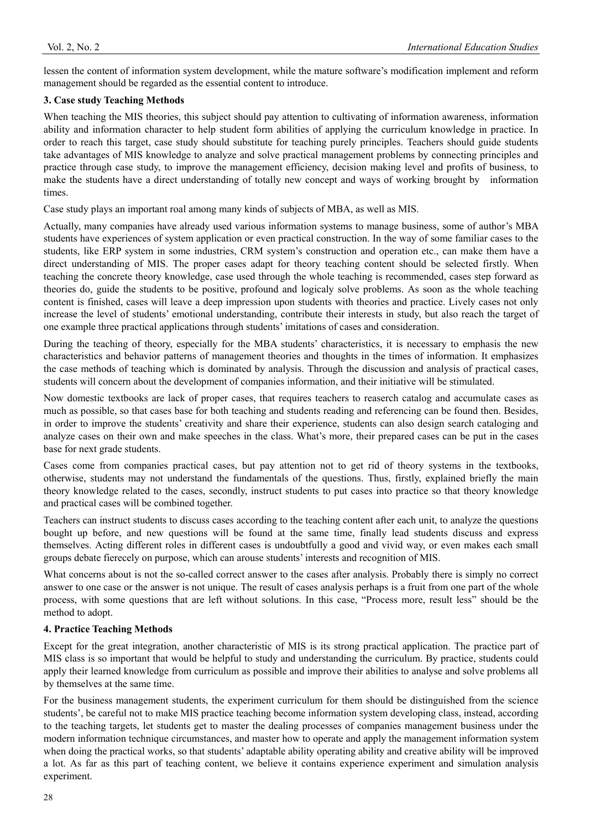lessen the content of information system development, while the mature software's modification implement and reform management should be regarded as the essential content to introduce.

# **3. Case study Teaching Methods**

When teaching the MIS theories, this subject should pay attention to cultivating of information awareness, information ability and information character to help student form abilities of applying the curriculum knowledge in practice. In order to reach this target, case study should substitute for teaching purely principles. Teachers should guide students take advantages of MIS knowledge to analyze and solve practical management problems by connecting principles and practice through case study, to improve the management efficiency, decision making level and profits of business, to make the students have a direct understanding of totally new concept and ways of working brought by information times.

Case study plays an important roal among many kinds of subjects of MBA, as well as MIS.

Actually, many companies have already used various information systems to manage business, some of author's MBA students have experiences of system application or even practical construction. In the way of some familiar cases to the students, like ERP system in some industries, CRM system's construction and operation etc., can make them have a direct understanding of MIS. The proper cases adapt for theory teaching content should be selected firstly. When teaching the concrete theory knowledge, case used through the whole teaching is recommended, cases step forward as theories do, guide the students to be positive, profound and logicaly solve problems. As soon as the whole teaching content is finished, cases will leave a deep impression upon students with theories and practice. Lively cases not only increase the level of students' emotional understanding, contribute their interests in study, but also reach the target of one example three practical applications through students' imitations of cases and consideration.

During the teaching of theory, especially for the MBA students' characteristics, it is necessary to emphasis the new characteristics and behavior patterns of management theories and thoughts in the times of information. It emphasizes the case methods of teaching which is dominated by analysis. Through the discussion and analysis of practical cases, students will concern about the development of companies information, and their initiative will be stimulated.

Now domestic textbooks are lack of proper cases, that requires teachers to reaserch catalog and accumulate cases as much as possible, so that cases base for both teaching and students reading and referencing can be found then. Besides, in order to improve the students' creativity and share their experience, students can also design search cataloging and analyze cases on their own and make speeches in the class. What's more, their prepared cases can be put in the cases base for next grade students.

Cases come from companies practical cases, but pay attention not to get rid of theory systems in the textbooks, otherwise, students may not understand the fundamentals of the questions. Thus, firstly, explained briefly the main theory knowledge related to the cases, secondly, instruct students to put cases into practice so that theory knowledge and practical cases will be combined together.

Teachers can instruct students to discuss cases according to the teaching content after each unit, to analyze the questions bought up before, and new questions will be found at the same time, finally lead students discuss and express themselves. Acting different roles in different cases is undoubtfully a good and vivid way, or even makes each small groups debate fierecely on purpose, which can arouse students' interests and recognition of MIS.

What concerns about is not the so-called correct answer to the cases after analysis. Probably there is simply no correct answer to one case or the answer is not unique. The result of cases analysis perhaps is a fruit from one part of the whole process, with some questions that are left without solutions. In this case, "Process more, result less" should be the method to adopt.

# **4. Practice Teaching Methods**

Except for the great integration, another characteristic of MIS is its strong practical application. The practice part of MIS class is so important that would be helpful to study and understanding the curriculum. By practice, students could apply their learned knowledge from curriculum as possible and improve their abilities to analyse and solve problems all by themselves at the same time.

For the business management students, the experiment curriculum for them should be distinguished from the science students', be careful not to make MIS practice teaching become information system developing class, instead, according to the teaching targets, let students get to master the dealing processes of companies management business under the modern information technique circumstances, and master how to operate and apply the management information system when doing the practical works, so that students' adaptable ability operating ability and creative ability will be improved a lot. As far as this part of teaching content, we believe it contains experience experiment and simulation analysis experiment.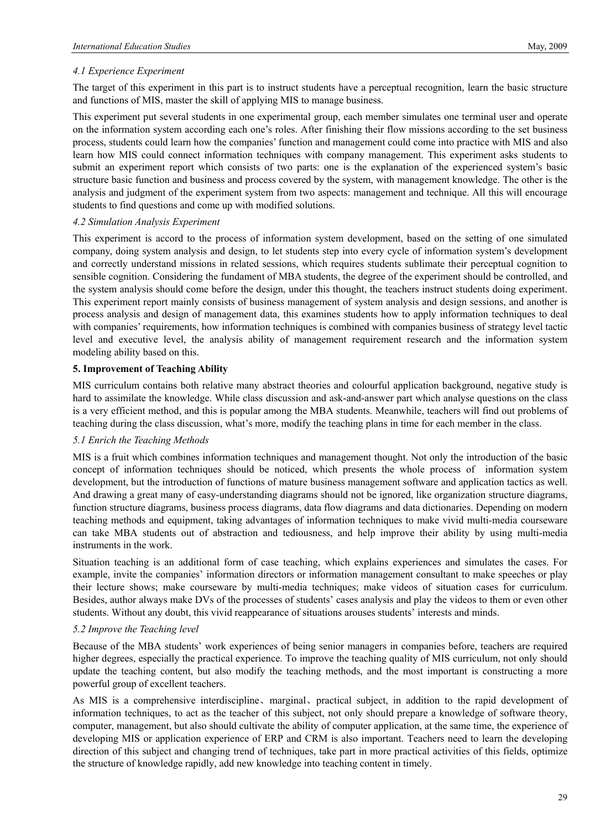## *4.1 Experience Experiment*

The target of this experiment in this part is to instruct students have a perceptual recognition, learn the basic structure and functions of MIS, master the skill of applying MIS to manage business.

This experiment put several students in one experimental group, each member simulates one terminal user and operate on the information system according each one's roles. After finishing their flow missions according to the set business process, students could learn how the companies' function and management could come into practice with MIS and also learn how MIS could connect information techniques with company management. This experiment asks students to submit an experiment report which consists of two parts: one is the explanation of the experienced system's basic structure basic function and business and process covered by the system, with management knowledge. The other is the analysis and judgment of the experiment system from two aspects: management and technique. All this will encourage students to find questions and come up with modified solutions.

## *4.2 Simulation Analysis Experiment*

This experiment is accord to the process of information system development, based on the setting of one simulated company, doing system analysis and design, to let students step into every cycle of information system's development and correctly understand missions in related sessions, which requires students sublimate their perceptual cognition to sensible cognition. Considering the fundament of MBA students, the degree of the experiment should be controlled, and the system analysis should come before the design, under this thought, the teachers instruct students doing experiment. This experiment report mainly consists of business management of system analysis and design sessions, and another is process analysis and design of management data, this examines students how to apply information techniques to deal with companies' requirements, how information techniques is combined with companies business of strategy level tactic level and executive level, the analysis ability of management requirement research and the information system modeling ability based on this.

# **5. Improvement of Teaching Ability**

MIS curriculum contains both relative many abstract theories and colourful application background, negative study is hard to assimilate the knowledge. While class discussion and ask-and-answer part which analyse questions on the class is a very efficient method, and this is popular among the MBA students. Meanwhile, teachers will find out problems of teaching during the class discussion, what's more, modify the teaching plans in time for each member in the class.

## *5.1 Enrich the Teaching Methods*

MIS is a fruit which combines information techniques and management thought. Not only the introduction of the basic concept of information techniques should be noticed, which presents the whole process of information system development, but the introduction of functions of mature business management software and application tactics as well. And drawing a great many of easy-understanding diagrams should not be ignored, like organization structure diagrams, function structure diagrams, business process diagrams, data flow diagrams and data dictionaries. Depending on modern teaching methods and equipment, taking advantages of information techniques to make vivid multi-media courseware can take MBA students out of abstraction and tediousness, and help improve their ability by using multi-media instruments in the work.

Situation teaching is an additional form of case teaching, which explains experiences and simulates the cases. For example, invite the companies' information directors or information management consultant to make speeches or play their lecture shows; make courseware by multi-media techniques; make videos of situation cases for curriculum. Besides, author always make DVs of the processes of students' cases analysis and play the videos to them or even other students. Without any doubt, this vivid reappearance of situations arouses students' interests and minds.

## *5.2 Improve the Teaching level*

Because of the MBA students' work experiences of being senior managers in companies before, teachers are required higher degrees, especially the practical experience. To improve the teaching quality of MIS curriculum, not only should update the teaching content, but also modify the teaching methods, and the most important is constructing a more powerful group of excellent teachers.

As MIS is a comprehensive interdiscipline、marginal、practical subject, in addition to the rapid development of information techniques, to act as the teacher of this subject, not only should prepare a knowledge of software theory, computer, management, but also should cultivate the ability of computer application, at the same time, the experience of developing MIS or application experience of ERP and CRM is also important. Teachers need to learn the developing direction of this subject and changing trend of techniques, take part in more practical activities of this fields, optimize the structure of knowledge rapidly, add new knowledge into teaching content in timely.